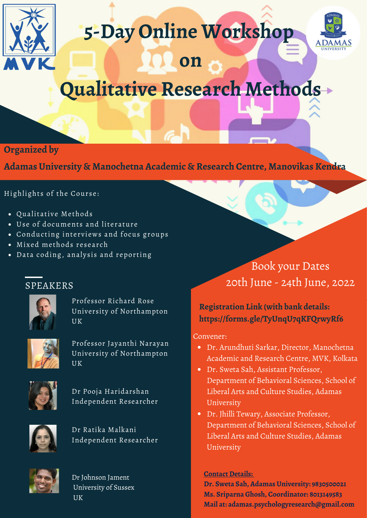

# **5-Day Online Workshop**

**on**



## **Qualitative Research Methods**

## **Organized by**

**Adamas University & Manochetna Academic & Research Centre, Manovikas Kendra**

#### Highlights of the Course:

- Qualitative Methods
- Use of documents and literature
- Conduc ting interviews and focus groups
- Mixed methods resear ch
- Data coding, analysis and reporting

#### SPEAKERS



Professor Richard Rose University of Northampton UK



Professor Jayanthi Narayan University of Northampton UK



Dr Pooja Haridarshan Independent Researcher



Dr Ratika Malkani Independent Researcher



Dr Johnson Jament University of Sussex **UK** 

## Book your Dates 20th June - 24th June, 2022

## **Registration Link (with bank details: https://forms.gle/TyUnqU7qKFQrwyRf6**

#### Convener:

- Dr. Arundhuti Sarkar, Director, Manochetna Academic and Research Centre, MVK, Kolkata
- Dr. Sweta Sah, Assistant Professor, Department of Behavioral Sciences, School of Liberal Arts and Culture Studies, Adamas University
- Dr. Jhilli Tewary, Associate Professor, Department of Behavioral Sciences, School of Liberal Arts and Culture Studies, Adamas University

#### **Contact Details:**

**Dr. Sweta Sah, Adamas University: 9830500021 Ms. Sriparna Ghosh, Coordinator: 8013149583 Mail at: adamas.psychologyresearch@gmail.com**